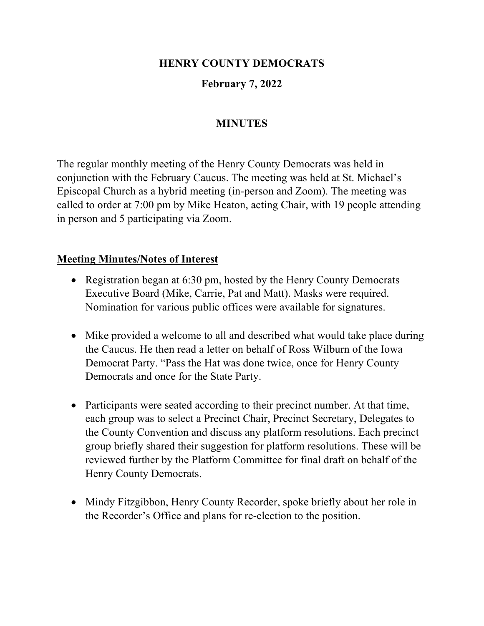## **HENRY COUNTY DEMOCRATS**

# **February 7, 2022**

## **MINUTES**

The regular monthly meeting of the Henry County Democrats was held in conjunction with the February Caucus. The meeting was held at St. Michael's Episcopal Church as a hybrid meeting (in-person and Zoom). The meeting was called to order at 7:00 pm by Mike Heaton, acting Chair, with 19 people attending in person and 5 participating via Zoom.

#### **Meeting Minutes/Notes of Interest**

- Registration began at 6:30 pm, hosted by the Henry County Democrats Executive Board (Mike, Carrie, Pat and Matt). Masks were required. Nomination for various public offices were available for signatures.
- Mike provided a welcome to all and described what would take place during the Caucus. He then read a letter on behalf of Ross Wilburn of the Iowa Democrat Party. "Pass the Hat was done twice, once for Henry County Democrats and once for the State Party.
- Participants were seated according to their precinct number. At that time, each group was to select a Precinct Chair, Precinct Secretary, Delegates to the County Convention and discuss any platform resolutions. Each precinct group briefly shared their suggestion for platform resolutions. These will be reviewed further by the Platform Committee for final draft on behalf of the Henry County Democrats.
- Mindy Fitzgibbon, Henry County Recorder, spoke briefly about her role in the Recorder's Office and plans for re-election to the position.